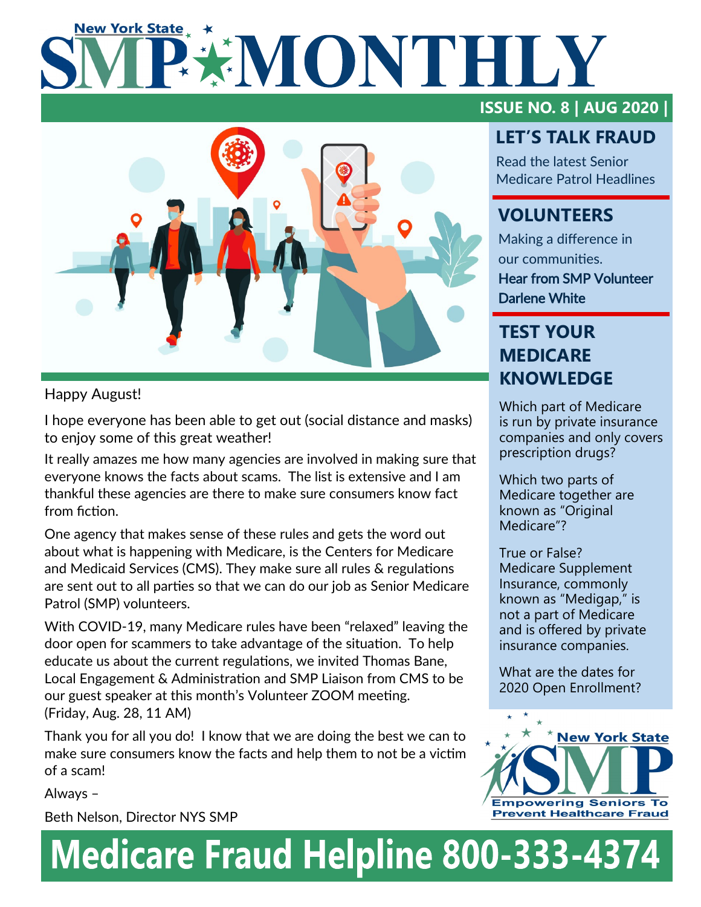# **New York State EXIMONTHILY**



## Happy August!

I hope everyone has been able to get out (social distance and masks) to enjoy some of this great weather!

It really amazes me how many agencies are involved in making sure that everyone knows the facts about scams. The list is extensive and I am thankful these agencies are there to make sure consumers know fact from fiction.

One agency that makes sense of these rules and gets the word out about what is happening with Medicare, is the Centers for Medicare and Medicaid Services (CMS). They make sure all rules & regulations are sent out to all parties so that we can do our job as Senior Medicare Patrol (SMP) volunteers.

With COVID-19, many Medicare rules have been "relaxed" leaving the door open for scammers to take advantage of the situation. To help educate us about the current regulations, we invited Thomas Bane, Local Engagement & Administration and SMP Liaison from CMS to be our guest speaker at this month's Volunteer ZOOM meeting. (Friday, Aug. 28, 11 AM)

Thank you for all you do! I know that we are doing the best we can to make sure consumers know the facts and help them to not be a victim of a scam!

Always –

Beth Nelson, Director NYS SMP

# **ISSUE NO. 8 | AUG 2020 |**

# **LET'S TALK FRAUD**

Read the latest Senior Medicare Patrol Headlines

# **VOLUNTEERS**

Making a difference in our communities. Hear from SMP Volunteer Darlene White

# **TEST YOUR MEDICARE KNOWLEDGE**

Which part of Medicare is run by private insurance companies and only covers prescription drugs?

Which two parts of Medicare together are known as "Original Medicare"?

True or False? Medicare Supplement Insurance, commonly known as "Medigap," is not a part of Medicare and is offered by private insurance companies.

What are the dates for 2020 Open Enrollment?



# **Medicare Fraud Helpline 800-333-4374**